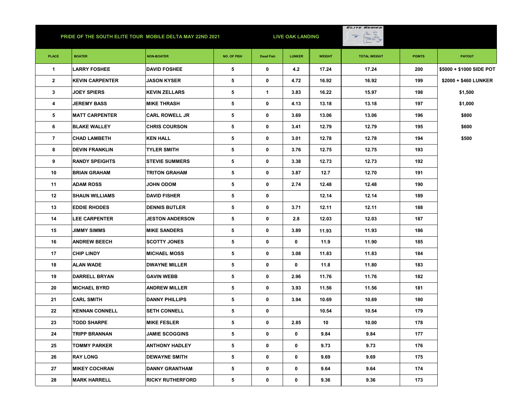| PRIDE OF THE SOUTH ELITE TOUR MOBILE DELTA MAY 22ND 2021 |                        |                         |                    |                      | <b>LIVE OAK LANDING</b> |               | <b>ELITE SERIES</b><br>$\geq$<br>$\overline{\phantom{a}}$ |               |                          |
|----------------------------------------------------------|------------------------|-------------------------|--------------------|----------------------|-------------------------|---------------|-----------------------------------------------------------|---------------|--------------------------|
| <b>PLACE</b>                                             | <b>BOATER</b>          | <b>NON-BOATER</b>       | <b>NO. OF FISH</b> | <b>Dead Fish</b>     | <b>LUNKER</b>           | <b>WEIGHT</b> | <b>TOTAL WEIGHT</b>                                       | <b>POINTS</b> | <b>PAYOUT</b>            |
| $\mathbf{1}$                                             | <b>LARRY FOSHEE</b>    | <b>DAVID FOSHEE</b>     | 5                  | 0                    | 4.2                     | 17.24         | 17.24                                                     | 200           | \$5000 + \$1000 SIDE POT |
| $\overline{2}$                                           | <b>KEVIN CARPENTER</b> | JASON KYSER             | 5                  | $\mathbf 0$          | 4.72                    | 16.92         | 16.92                                                     | 199           | \$2000 + \$460 LUNKER    |
| 3                                                        | <b>JOEY SPIERS</b>     | <b>KEVIN ZELLARS</b>    | 5                  | $\blacktriangleleft$ | 3.83                    | 16.22         | 15.97                                                     | 198           | \$1,500                  |
| 4                                                        | <b>JEREMY BASS</b>     | <b>MIKE THRASH</b>      | 5                  | 0                    | 4.13                    | 13.18         | 13.18                                                     | 197           | \$1,000                  |
| 5                                                        | <b>MATT CARPENTER</b>  | <b>CARL ROWELL JR</b>   | 5                  | $\mathbf 0$          | 3.69                    | 13.06         | 13.06                                                     | 196           | \$800                    |
| 6                                                        | <b>BLAKE WALLEY</b>    | <b>CHRIS COURSON</b>    | 5                  | $\mathbf 0$          | 3.41                    | 12.79         | 12.79                                                     | 195           | \$600                    |
| $\overline{7}$                                           | <b>CHAD LAMBETH</b>    | <b>KEN HALL</b>         | 5                  | 0                    | 3.01                    | 12.78         | 12.78                                                     | 194           | \$500                    |
| 8                                                        | <b>DEVIN FRANKLIN</b>  | <b>TYLER SMITH</b>      | 5                  | 0                    | 3.76                    | 12.75         | 12.75                                                     | 193           |                          |
| 9                                                        | <b>RANDY SPEIGHTS</b>  | <b>STEVIE SUMMERS</b>   | 5                  | $\mathbf 0$          | 3.38                    | 12.73         | 12.73                                                     | 192           |                          |
| 10                                                       | <b>BRIAN GRAHAM</b>    | <b>TRITON GRAHAM</b>    | 5                  | 0                    | 3.87                    | 12.7          | 12.70                                                     | 191           |                          |
| 11                                                       | <b>ADAM ROSS</b>       | <b>JOHN ODOM</b>        | 5                  | $\mathbf 0$          | 2.74                    | 12.48         | 12.48                                                     | 190           |                          |
| 12                                                       | <b>SHAUN WILLIAMS</b>  | <b>DAVID FISHER</b>     | 5                  | $\mathbf 0$          |                         | 12.14         | 12.14                                                     | 189           |                          |
| 13                                                       | <b>EDDIE RHODES</b>    | <b>DENNIS BUTLER</b>    | 5                  | $\mathbf 0$          | 3.71                    | 12.11         | 12.11                                                     | 188           |                          |
| 14                                                       | <b>LEE CARPENTER</b>   | <b>JESTON ANDERSON</b>  | 5                  | 0                    | 2.8                     | 12.03         | 12.03                                                     | 187           |                          |
| 15                                                       | JIMMY SIMMS            | <b>MIKE SANDERS</b>     | 5                  | 0                    | 3.89                    | 11.93         | 11.93                                                     | 186           |                          |
| 16                                                       | <b>ANDREW BEECH</b>    | <b>SCOTTY JONES</b>     | 5                  | $\mathbf 0$          | 0                       | 11.9          | 11.90                                                     | 185           |                          |
| 17                                                       | <b>CHIP LINDY</b>      | <b>MICHAEL MOSS</b>     | 5                  | 0                    | 3.08                    | 11.83         | 11.83                                                     | 184           |                          |
| 18                                                       | <b>ALAN WADE</b>       | <b>DWAYNE MILLER</b>    | 5                  | $\mathbf 0$          | 0                       | 11.8          | 11.80                                                     | 183           |                          |
| 19                                                       | <b>DARRELL BRYAN</b>   | <b>GAVIN WEBB</b>       | 5                  | 0                    | 2.96                    | 11.76         | 11.76                                                     | 182           |                          |
| 20                                                       | <b>MICHAEL BYRD</b>    | <b>ANDREW MILLER</b>    | 5                  | $\mathbf 0$          | 3.93                    | 11.56         | 11.56                                                     | 181           |                          |
| 21                                                       | <b>CARL SMITH</b>      | <b>DANNY PHILLIPS</b>   | 5                  | 0                    | 3.94                    | 10.69         | 10.69                                                     | 180           |                          |
| 22                                                       | <b>KENNAN CONNELL</b>  | <b>SETH CONNELL</b>     | 5                  | 0                    |                         | 10.54         | 10.54                                                     | 179           |                          |
| 23                                                       | <b>TODD SHARPE</b>     | <b>MIKE FESLER</b>      | 5                  | 0                    | 2.85                    | 10            | 10.00                                                     | 178           |                          |
| 24                                                       | <b>TRIPP BRANNAN</b>   | <b>JAMIE SCOGGINS</b>   | 5                  | $\mathbf 0$          | 0                       | 9.84          | 9.84                                                      | 177           |                          |
| 25                                                       | <b>TOMMY PARKER</b>    | <b>ANTHONY HADLEY</b>   | 5                  | $\mathbf 0$          | 0                       | 9.73          | 9.73                                                      | 176           |                          |
| 26                                                       | <b>RAY LONG</b>        | <b>DEWAYNE SMITH</b>    | 5                  | $\mathbf 0$          | $\mathbf 0$             | 9.69          | 9.69                                                      | 175           |                          |
| 27                                                       | <b>MIKEY COCHRAN</b>   | <b>DANNY GRANTHAM</b>   | 5                  | $\mathbf 0$          | $\mathbf 0$             | 9.64          | 9.64                                                      | 174           |                          |
| 28                                                       | <b>MARK HARRELL</b>    | <b>RICKY RUTHERFORD</b> | 5                  | $\mathbf 0$          | $\mathbf 0$             | 9.36          | 9.36                                                      | 173           |                          |
|                                                          |                        |                         |                    |                      |                         |               |                                                           |               |                          |